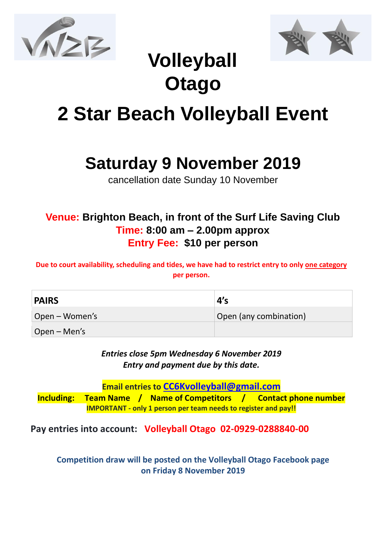



## **Volleyball Otago**

# **2 Star Beach Volleyball Event**

### **Saturday 9 November 2019**

cancellation date Sunday 10 November

#### **Venue: Brighton Beach, in front of the Surf Life Saving Club Time: 8:00 am – 2.00pm approx Entry Fee: \$10 per person**

**Due to court availability, scheduling and tides, we have had to restrict entry to only one category per person.**

| <b>PAIRS</b>   | 4's                    |
|----------------|------------------------|
| Open – Women's | Open (any combination) |
| $Open - Men's$ |                        |

*Entries close 5pm Wednesday 6 November 2019 Entry and payment due by this date.* 

**Email entries to [CC6Kvolleyball@gmail.com](mailto:CC6Kvolleyball@gmail.com)**

**Including: Team Name / Name of Competitors / Contact phone number IMPORTANT - only 1 person per team needs to register and pay!!**

**Pay entries into account: Volleyball Otago 02-0929-0288840-00**

**Competition draw will be posted on the Volleyball Otago Facebook page on Friday 8 November 2019**